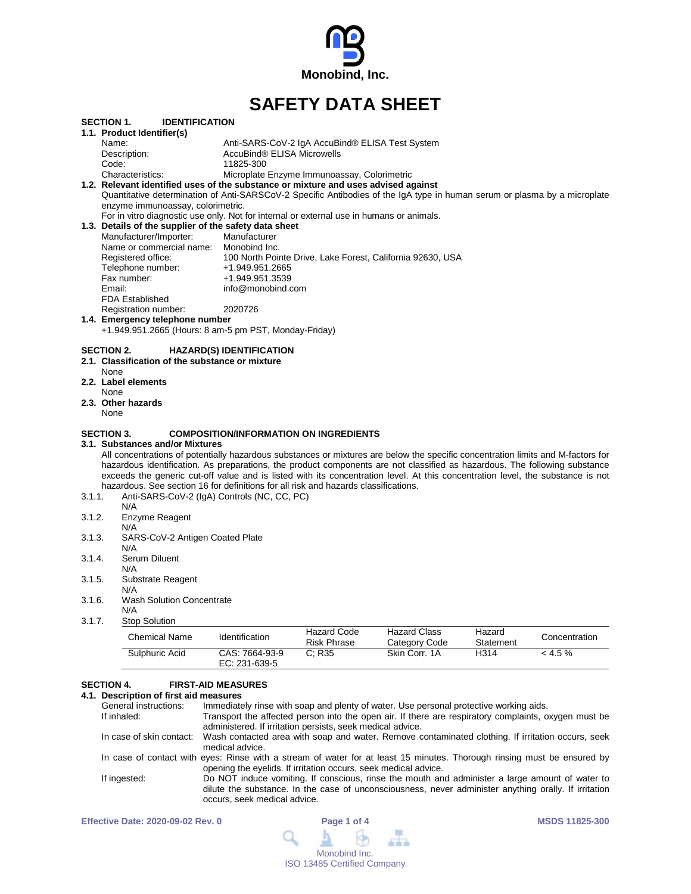

# **SAFETY DATA SHEET**

|        | <b>SECTION 1.</b><br><b>IDENTIFICATION</b>                                                                                       |                                               |                                                 |                                                            |           |               |
|--------|----------------------------------------------------------------------------------------------------------------------------------|-----------------------------------------------|-------------------------------------------------|------------------------------------------------------------|-----------|---------------|
|        | 1.1. Product Identifier(s)                                                                                                       |                                               |                                                 |                                                            |           |               |
|        | Name:                                                                                                                            | AccuBind® ELISA Microwells                    | Anti-SARS-CoV-2 IgA AccuBind® ELISA Test System |                                                            |           |               |
|        | Description:<br>Code:                                                                                                            | 11825-300                                     |                                                 |                                                            |           |               |
|        | Characteristics:                                                                                                                 |                                               | Microplate Enzyme Immunoassay, Colorimetric     |                                                            |           |               |
|        | 1.2. Relevant identified uses of the substance or mixture and uses advised against                                               |                                               |                                                 |                                                            |           |               |
|        | Quantitative determination of Anti-SARSCoV-2 Specific Antibodies of the IgA type in human serum or plasma by a microplate        |                                               |                                                 |                                                            |           |               |
|        | enzyme immunoassay, colorimetric.                                                                                                |                                               |                                                 |                                                            |           |               |
|        | For in vitro diagnostic use only. Not for internal or external use in humans or animals.                                         |                                               |                                                 |                                                            |           |               |
|        | 1.3. Details of the supplier of the safety data sheet                                                                            |                                               |                                                 |                                                            |           |               |
|        | Manufacturer/Importer:                                                                                                           | Manufacturer                                  |                                                 |                                                            |           |               |
|        | Name or commercial name:                                                                                                         | Monobind Inc.                                 |                                                 |                                                            |           |               |
|        | Registered office:                                                                                                               |                                               |                                                 | 100 North Pointe Drive, Lake Forest, California 92630, USA |           |               |
|        | Telephone number:                                                                                                                | +1.949.951.2665                               |                                                 |                                                            |           |               |
|        | Fax number:                                                                                                                      | +1.949.951.3539                               |                                                 |                                                            |           |               |
|        | Email:                                                                                                                           | info@monobind.com                             |                                                 |                                                            |           |               |
|        | <b>FDA Established</b>                                                                                                           |                                               |                                                 |                                                            |           |               |
|        | Registration number:                                                                                                             | 2020726                                       |                                                 |                                                            |           |               |
|        | 1.4. Emergency telephone number                                                                                                  |                                               |                                                 |                                                            |           |               |
|        | +1.949.951.2665 (Hours: 8 am-5 pm PST, Monday-Friday)                                                                            |                                               |                                                 |                                                            |           |               |
|        | 2.3. Other hazards<br>None                                                                                                       |                                               |                                                 |                                                            |           |               |
|        | <b>SECTION 3.</b>                                                                                                                | <b>COMPOSITION/INFORMATION ON INGREDIENTS</b> |                                                 |                                                            |           |               |
|        | 3.1. Substances and/or Mixtures                                                                                                  |                                               |                                                 |                                                            |           |               |
|        | All concentrations of potentially hazardous substances or mixtures are below the specific concentration limits and M-factors for |                                               |                                                 |                                                            |           |               |
|        | hazardous identification. As preparations, the product components are not classified as hazardous. The following substance       |                                               |                                                 |                                                            |           |               |
|        | exceeds the generic cut-off value and is listed with its concentration level. At this concentration level, the substance is not  |                                               |                                                 |                                                            |           |               |
| 3.1.1. | hazardous. See section 16 for definitions for all risk and hazards classifications.                                              |                                               |                                                 |                                                            |           |               |
|        | Anti-SARS-CoV-2 (IgA) Controls (NC, CC, PC)<br>N/A                                                                               |                                               |                                                 |                                                            |           |               |
| 3.1.2. | Enzyme Reagent                                                                                                                   |                                               |                                                 |                                                            |           |               |
|        | N/A                                                                                                                              |                                               |                                                 |                                                            |           |               |
| 3.1.3. | SARS-CoV-2 Antigen Coated Plate                                                                                                  |                                               |                                                 |                                                            |           |               |
|        | N/A                                                                                                                              |                                               |                                                 |                                                            |           |               |
| 3.1.4. | Serum Diluent                                                                                                                    |                                               |                                                 |                                                            |           |               |
|        | N/A                                                                                                                              |                                               |                                                 |                                                            |           |               |
| 3.1.5. | Substrate Reagent                                                                                                                |                                               |                                                 |                                                            |           |               |
|        | N/A                                                                                                                              |                                               |                                                 |                                                            |           |               |
| 3.1.6. | <b>Wash Solution Concentrate</b>                                                                                                 |                                               |                                                 |                                                            |           |               |
|        | N/A                                                                                                                              |                                               |                                                 |                                                            |           |               |
| 3.1.7. | <b>Stop Solution</b>                                                                                                             |                                               |                                                 |                                                            |           |               |
|        |                                                                                                                                  |                                               | <b>Hazard Code</b>                              | <b>Hazard Class</b>                                        | Hazard    |               |
|        | <b>Chemical Name</b>                                                                                                             | Identification                                | <b>Risk Phrase</b>                              | Category Code                                              | Statement | Concentration |
|        | Sulphuric Acid                                                                                                                   | CAS: 7664-93-9                                | C: R35                                          | Skin Corr. 1A                                              | H314      | < 4.5 %       |

#### **SECTION 4. FIRST-AID MEASURES**

## **4.1. Description of first aid measures**

| General instructions: | Immediately rinse with soap and plenty of water. Use personal protective working aids.                                     |
|-----------------------|----------------------------------------------------------------------------------------------------------------------------|
| If inhaled:           | Transport the affected person into the open air. If there are respiratory complaints, oxygen must be                       |
|                       | administered. If irritation persists, seek medical advice.                                                                 |
|                       | In case of skin contact: Wash contacted area with soap and water. Remove contaminated clothing. If irritation occurs, seek |
|                       | medical advice.                                                                                                            |
|                       | In case of contact with eyes: Rinse with a stream of water for at least 15 minutes. Thorough rinsing must be ensured by    |
|                       | opening the eyelids. If irritation occurs, seek medical advice.                                                            |
| If ingested:          | Do NOT induce vomiting. If conscious, rinse the mouth and administer a large amount of water to                            |
|                       | dilute the substance. In the case of unconsciousness, never administer anything orally. If irritation                      |
|                       | occurs, seek medical advice.                                                                                               |
|                       |                                                                                                                            |

Sulphuric Acid CAS: 7664-93-9 C; R35 Skin Corr. 1A

EC: 231-639-5

| <b>Effective Date: 2020-09-02 Rev. 0</b> | Page 1 of 4                                                                      | <b>MSDS 11825-300</b> |
|------------------------------------------|----------------------------------------------------------------------------------|-----------------------|
|                                          | $\begin{array}{c} \mathbf{A} & \mathbf{B} & \mathbf{B} & \mathbf{B} \end{array}$ |                       |
|                                          | Monobind Inc.                                                                    |                       |
|                                          | <b>ISO 13485 Certified Company</b>                                               |                       |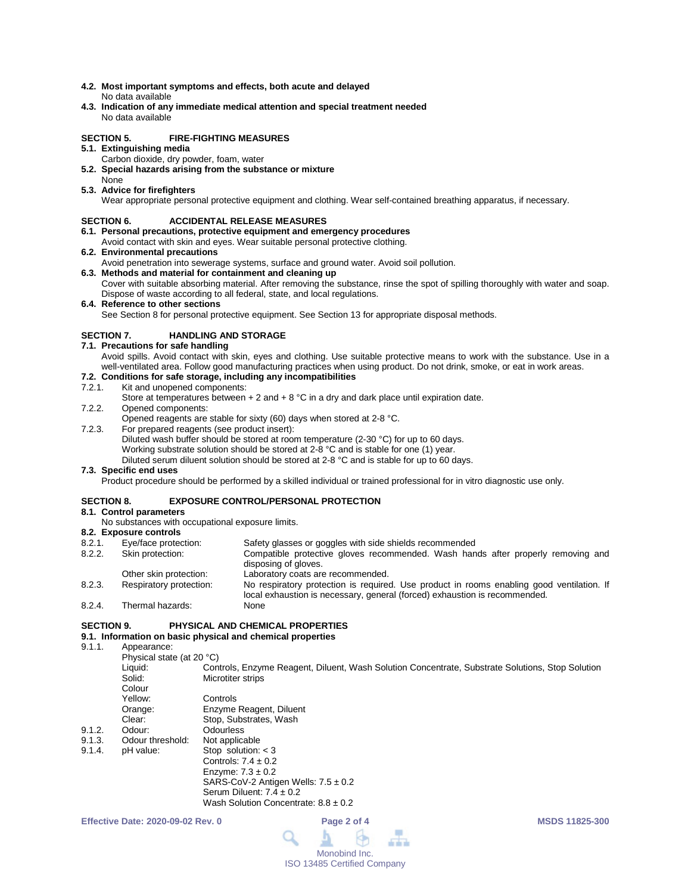- **4.2. Most important symptoms and effects, both acute and delayed** No data available
- **4.3. Indication of any immediate medical attention and special treatment needed** No data available

## **SECTION 5. FIRE-FIGHTING MEASURES**

- **5.1. Extinguishing media**
	- Carbon dioxide, dry powder, foam, water
- **5.2. Special hazards arising from the substance or mixture** None
- **5.3. Advice for firefighters**

Wear appropriate personal protective equipment and clothing. Wear self-contained breathing apparatus, if necessary.

## **SECTION 6. ACCIDENTAL RELEASE MEASURES**

- **6.1. Personal precautions, protective equipment and emergency procedures**
- Avoid contact with skin and eyes. Wear suitable personal protective clothing.
- **6.2. Environmental precautions**
- Avoid penetration into sewerage systems, surface and ground water. Avoid soil pollution.
- **6.3. Methods and material for containment and cleaning up** Cover with suitable absorbing material. After removing the substance, rinse the spot of spilling thoroughly with water and soap. Dispose of waste according to all federal, state, and local regulations.
- **6.4. Reference to other sections**

See Section 8 for personal protective equipment. See Section 13 for appropriate disposal methods.

## **SECTION 7. HANDLING AND STORAGE**

**7.1. Precautions for safe handling**

Avoid spills. Avoid contact with skin, eyes and clothing. Use suitable protective means to work with the substance. Use in a well-ventilated area. Follow good manufacturing practices when using product. Do not drink, smoke, or eat in work areas.

## **7.2. Conditions for safe storage, including any incompatibilities**

#### Kit and unopened components:

- Store at temperatures between  $+ 2$  and  $+ 8$  °C in a dry and dark place until expiration date.
- 7.2.2. Opened components:

Opened reagents are stable for sixty (60) days when stored at 2-8 °C.

- 7.2.3. For prepared reagents (see product insert):
	- Diluted wash buffer should be stored at room temperature (2-30 °C) for up to 60 days.

Working substrate solution should be stored at 2-8 °C and is stable for one (1) year.

Diluted serum diluent solution should be stored at 2-8 °C and is stable for up to 60 days.

## **7.3. Specific end uses**

Product procedure should be performed by a skilled individual or trained professional for in vitro diagnostic use only.

### **SECTION 8. EXPOSURE CONTROL/PERSONAL PROTECTION**

- **8.1. Control parameters**
	- No substances with occupational exposure limits.

## **8.2. Exposure controls**

Safety glasses or goggles with side shields recommended

Wash Solution Concentrate:  $8.8 \pm 0.2$ 

- 8.2.2. Skin protection: Compatible protective gloves recommended. Wash hands after properly removing and disposing of gloves.
- Other skin protection: Laboratory coats are recommended.<br>
Respiratory protection: No respiratory protection is required
- 8.2.3. Respiratory protection: No respiratory protection is required. Use product in rooms enabling good ventilation. If local exhaustion is necessary, general (forced) exhaustion is recommended. 8.2.4. Thermal hazards:
- 

## **SECTION 9. PHYSICAL AND CHEMICAL PROPERTIES**

## **9.1. Information on basic physical and chemical properties**

Appearance: Physical state (at 20 °C)

| $\frac{1}{1}$ iiyəndi ətatç $\frac{1}{1}$ at $\frac{2}{1}$ |                                                                                                  |
|------------------------------------------------------------|--------------------------------------------------------------------------------------------------|
| Liauid:                                                    | Controls, Enzyme Reagent, Diluent, Wash Solution Concentrate, Substrate Solutions, Stop Solution |
| Solid:                                                     | Microtiter strips                                                                                |
| Colour                                                     |                                                                                                  |
| Yellow:                                                    | Controls                                                                                         |
| Orange:                                                    | Enzyme Reagent, Diluent                                                                          |
| Clear:                                                     | Stop, Substrates, Wash                                                                           |
| Odour:                                                     | <b>Odourless</b>                                                                                 |
| Odour threshold:                                           | Not applicable                                                                                   |
| pH value:                                                  | Stop solution: $<$ 3                                                                             |
|                                                            | Controls: $7.4 \pm 0.2$                                                                          |
|                                                            | Enzyme: $7.3 \pm 0.2$                                                                            |
|                                                            | SARS-CoV-2 Antigen Wells: $7.5 \pm 0.2$                                                          |
|                                                            | Serum Diluent: $7.4 \pm 0.2$                                                                     |
|                                                            |                                                                                                  |

 $9.1.2.$ <br> $9.1.3.$ 

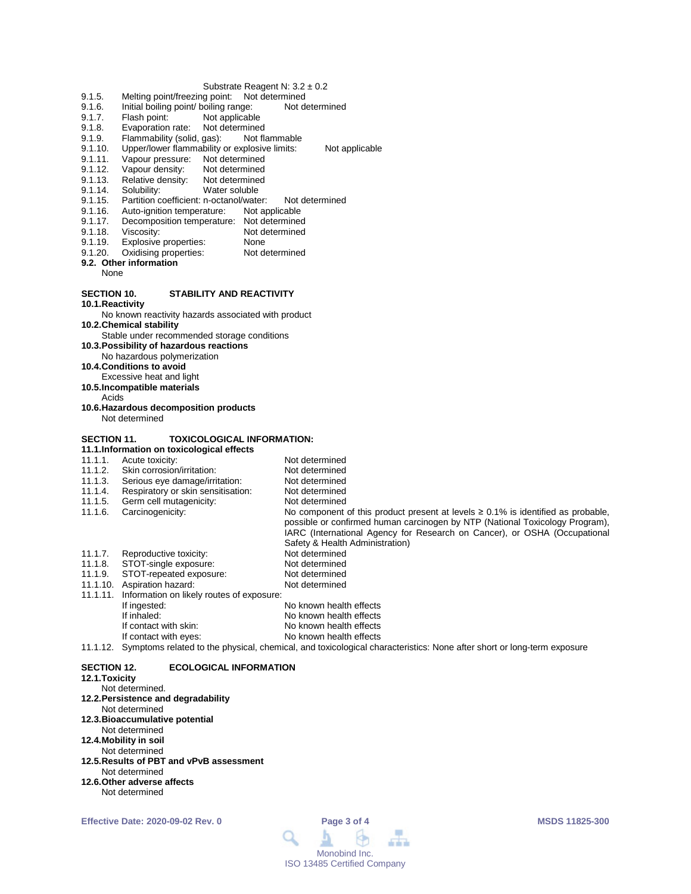#### Substrate Reagent N: 3.2 ± 0.2

- 
- 9.1.5. Melting point/freezing point: Not determined<br>9.1.6. Initial boiling point/ boiling range: Not determined 9.1.6. Initial boiling point/ boiling range:<br>9.1.7. Flash point: Not applicable
- 9.1.7. Flash point: Not applicable<br>9.1.8. Evaporation rate: Not determined
- 
- 9.1.8. Evaporation rate: Not determined<br>9.1.9. Flammability (solid, gas): Not flammable 9.1.9. Flammability (solid, gas):<br>9.1.10. Upper/lower flammability
- 9.1.10. Upper/lower flammability or explosive limits: Not applicable<br>9.1.11. Vapour pressure: Not determined
- 9.1.11. Vapour pressure: Not determined<br>9.1.12. Vapour density: Not determined
- 9.1.12. Vapour density: Not determined<br>9.1.13. Relative density: Not determined
- Relative density:
- 9.1.14. Solubility: Water soluble
- 9.1.15. Partition coefficient: n-octanol/water: Not determined<br>9.1.16. Auto-ignition temperature: Not applicable
- 9.1.16. Auto-ignition temperature:<br>9.1.17. Decomposition temperature
- 9.1.17. Decomposition temperature: Not determined<br>9.1.18. Viscosity: Not determined
- 
- 9.1.18. Viscosity: Not determined<br>9.1.19. Explosive properties: None
- 9.1.19. Explosive properties: None<br>9.1.20. Oxidising properties: Not determined Oxidising properties:
- **9.2. Other information**
	- None

### **SECTION 10. STABILITY AND REACTIVITY**

**10.1.Reactivity**

No known reactivity hazards associated with product

**10.2.Chemical stability**

Stable under recommended storage conditions

- **10.3.Possibility of hazardous reactions**
- No hazardous polymerization
- **10.4.Conditions to avoid**
- Excessive heat and light
- **10.5.Incompatible materials**
	- Acids
- **10.6.Hazardous decomposition products** Not determined
- 

## **SECTION 11. TOXICOLOGICAL INFORMATION:**

**11.1.Information on toxicological effects**

## 11.1.1. Acute toxicity:<br>11.1.2. Skin corrosion/irritation: Not determined

- 11.1.2. Skin corrosion/irritation: Not determined<br>11.1.3. Serious eve damage/irritation: Not determined
- 11.1.3. Serious eye damage/irritation: Not determined<br>11.1.4. Respiratory or skin sensitisation: Not determined
- 11.1.4. Respiratory or skin sensitisation: Not determined<br>11.1.5. Germ cell mutagenicity: Not determined
- 11.1.5. Germ cell mutagenicity:<br>11.1.6. Carcinogenicity:
- 

No component of this product present at levels  $\geq 0.1\%$  is identified as probable, possible or confirmed human carcinogen by NTP (National Toxicology Program), IARC (International Agency for Research on Cancer), or OSHA (Occupational Safety & Health Administration)

- 
- 11.1.7. Reproductive toxicity: Not determined<br>11.1.8. STOT-single exposure: Not determined 11.1.8. STOT-single exposure: Not determined
- 11.1.9. STOT-repeated exposure: Not determined<br>11.1.10. Aspiration hazard: Not determined
- 11.1.10. Aspiration hazard:
- 11.1.11. Information on likely routes of exposure:

| If ingested:          | No known health effects |
|-----------------------|-------------------------|
| If inhaled:           | No known health effects |
| If contact with skin: | No known health effects |
| If contact with eyes: | No known health effects |

#### 11.1.12. Symptoms related to the physical, chemical, and toxicological characteristics: None after short or long-term exposure

#### **SECTION 12. ECOLOGICAL INFORMATION**

#### **12.1.Toxicity**

- Not determined.
- **12.2.Persistence and degradability**
- Not determined
- **12.3.Bioaccumulative potential**
- Not determined
- **12.4.Mobility in soil**
- Not determined
- **12.5.Results of PBT and vPvB assessment** Not determined
- **12.6.Other adverse affects**
- Not determined